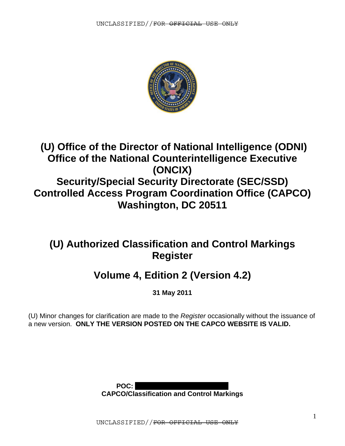

# **(U) Office of the Director of National Intelligence (ODNI) Office of the National Counterintelligence Executive (ONCIX) Security/Special Security Directorate (SEC/SSD) Controlled Access Program Coordination Office (CAPCO) Washington, DC 20511**

# **(U) Authorized Classification and Control Markings Register**

# **Volume 4, Edition 2 (Version 4.2)**

**31 May 2011** 

(U) Minor changes for clarification are made to the *Register* occasionally without the issuance of a new version. **ONLY THE VERSION POSTED ON THE CAPCO WEBSITE IS VALID.** 



UNCLASSIFIED//FOR OFFICIAL USE ONLY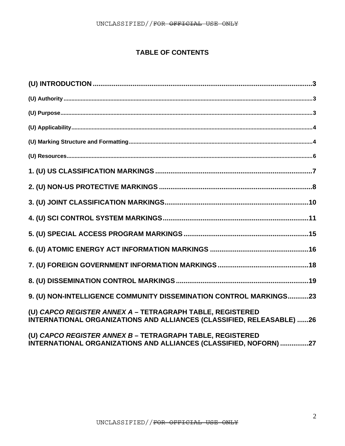### **TABLE OF CONTENTS**

| $({\sf U})~{\sf Purpose}.\ {\sf }.\ {\sf }.\ {\sf }.\ {\sf }$                                                                      |
|------------------------------------------------------------------------------------------------------------------------------------|
|                                                                                                                                    |
|                                                                                                                                    |
|                                                                                                                                    |
|                                                                                                                                    |
|                                                                                                                                    |
|                                                                                                                                    |
|                                                                                                                                    |
|                                                                                                                                    |
|                                                                                                                                    |
|                                                                                                                                    |
|                                                                                                                                    |
| 9. (U) NON-INTELLIGENCE COMMUNITY DISSEMINATION CONTROL MARKINGS23                                                                 |
| (U) CAPCO REGISTER ANNEX A - TETRAGRAPH TABLE, REGISTERED<br>INTERNATIONAL ORGANIZATIONS AND ALLIANCES (CLASSIFIED, RELEASABLE) 26 |
| (U) CAPCO REGISTER ANNEX B - TETRAGRAPH TABLE, REGISTERED<br>INTERNATIONAL ORGANIZATIONS AND ALLIANCES (CLASSIFIED, NOFORN) 27     |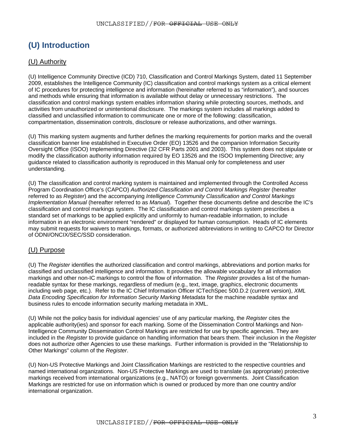# <span id="page-2-0"></span>**(U) Introduction**

### (U) Authority

(U) Intelligence Community Directive (ICD) 710, Classification and Control Markings System, dated 11 September 2009, establishes the Intelligence Community (IC) classification and control markings system as a critical element of IC procedures for protecting intelligence and information (hereinafter referred to as "information"), and sources and methods while ensuring that information is available without delay or unnecessary restrictions. The classification and control markings system enables information sharing while protecting sources, methods, and activities from unauthorized or unintentional disclosure. The markings system includes all markings added to classified and unclassified information to communicate one or more of the following: classification, compartmentation, dissemination controls, disclosure or release authorizations, and other warnings.

(U) This marking system augments and further defines the marking requirements for portion marks and the overall classification banner line established in Executive Order (EO) 13526 and the companion Information Security Oversight Office (ISOO) Implementing Directive (32 CFR Parts 2001 and 2003). This system does not stipulate or modify the classification authority information required by EO 13526 and the ISOO Implementing Directive; any guidance related to classification authority is reproduced in this Manual only for completeness and user understanding.

(U) The classification and control marking system is maintained and implemented through the Controlled Access Program Coordination Office's (CAPCO) *Authorized Classification and Control Markings Register* (hereafter referred to as *Register*) and the accompanying *Intelligence Community Classification and Control Markings Implementation Manual* (hereafter referred to as *Manual*). Together these documents define and describe the IC's classification and control markings system. The IC classification and control markings system prescribes a standard set of markings to be applied explicitly and uniformly to human-readable information, to include information in an electronic environment "rendered" or displayed for human consumption. Heads of IC elements may submit requests for waivers to markings, formats, or authorized abbreviations in writing to CAPCO for Director of ODNI/ONCIX/SEC/SSD consideration.

### (U) Purpose

(U) The *Register* identifies the authorized classification and control markings, abbreviations and portion marks for classified and unclassified intelligence and information. It provides the allowable vocabulary for all information markings and other non-IC markings to control the flow of information. The *Register* provides a list of the humanreadable syntax for these markings, regardless of medium (e.g., text, image, graphics, electronic documents including web page, etc.). Refer to the IC Chief Information Officer ICTechSpec 500.D.2 (current version), *XML Data Encoding Specification for Information Security Marking Metadata* for the machine readable syntax and business rules to encode information security marking metadata in XML.

(U) While not the policy basis for individual agencies' use of any particular marking, the *Register* cites the applicable authority(ies) and sponsor for each marking. Some of the Dissemination Control Markings and Non-Intelligence Community Dissemination Control Markings are restricted for use by specific agencies. They are included in the *Register* to provide guidance on handling information that bears them. Their inclusion in the *Register*  does not authorize other Agencies to use these markings. Further information is provided in the "Relationship to Other Markings" column of the *Register*.

(U) Non-US Protective Markings and Joint Classification Markings are restricted to the respective countries and named international organizations. Non-US Protective Markings are used to translate (as appropriate) protective markings received from international organizations (e.g., NATO) or foreign governments. Joint Classification Markings are restricted for use on information which is owned or produced by more than one country and/or international organization.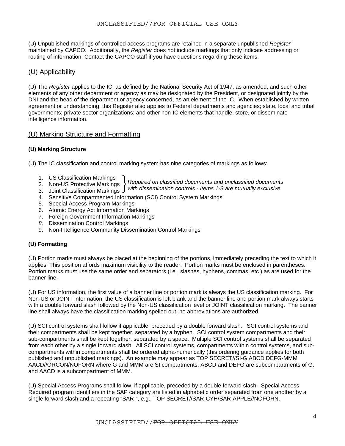<span id="page-3-0"></span>(U) Unpublished markings of controlled access programs are retained in a separate unpublished *Register* maintained by CAPCO. Additionally, the *Register* does not include markings that only indicate addressing or routing of information. Contact the CAPCO staff if you have questions regarding these items.

### (U) Applicability

(U) The *Register* applies to the IC, as defined by the National Security Act of 1947, as amended, and such other elements of any other department or agency as may be designated by the President, or designated jointly by the DNI and the head of the department or agency concerned, as an element of the IC. When established by written agreement or understanding, this Register also applies to Federal departments and agencies; state, local and tribal governments; private sector organizations; and other non-IC elements that handle, store, or disseminate intelligence information.

### (U) Marking Structure and Formatting

### **(U) Marking Structure**

(U) The IC classification and control marking system has nine categories of markings as follows:

- 
- 1. US Classification Markings *Required on classified documents and unclassified documents*  2. Non-US Protective Markings
- *with dissemination controls Items 1-3 are mutually exclusive*  3. Joint Classification Markings
- 4. Sensitive Compartmented Information (SCI) Control System Markings
- 5. Special Access Program Markings
- 6. Atomic Energy Act Information Markings
- 7. Foreign Government Information Markings
- *8.* Dissemination Control Markings
- 9. Non-Intelligence Community Dissemination Control Markings

#### **(U) Formatting**

(U) Portion marks must always be placed at the beginning of the portions, immediately preceding the text to which it applies. This position affords maximum visibility to the reader. Portion marks must be enclosed in parentheses. Portion marks must use the same order and separators (i.e., slashes, hyphens, commas, etc.) as are used for the banner line.

(U) For US information, the first value of a banner line or portion mark is always the US classification marking. For Non-US or JOINT information, the US classification is left blank and the banner line and portion mark always starts with a double forward slash followed by the Non-US classification level or JOINT classification marking. The banner line shall always have the classification marking spelled out; no abbreviations are authorized.

(U) SCI control systems shall follow if applicable, preceded by a double forward slash. SCI control systems and their compartments shall be kept together, separated by a hyphen. SCI control system compartments and their sub-compartments shall be kept together, separated by a space. Multiple SCI control systems shall be separated from each other by a single forward slash. All SCI control systems, compartments within control systems, and subcompartments within compartments shall be ordered alpha-numerically (this ordering guidance applies for both published and unpublished markings). An example may appear as TOP SECRET//SI-G ABCD DEFG-MMM AACD//ORCON/NOFORN where G and MMM are SI compartments, ABCD and DEFG are subcompartments of G, and AACD is a subcompartment of MMM.

(U) Special Access Programs shall follow, if applicable, preceded by a double forward slash. Special Access Required program identifiers in the SAP category are listed in alphabetic order separated from one another by a single forward slash and a repeating "SAR-", e.g., TOP SECRET//SAR-CYH/SAR-APPLE//NOFORN.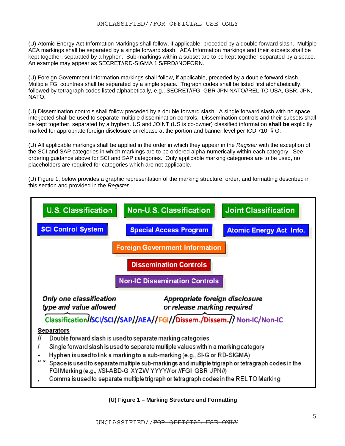(U) Atomic Energy Act Information Markings shall follow, if applicable, preceded by a double forward slash. Multiple AEA markings shall be separated by a single forward slash. AEA Information markings and their subsets shall be kept together, separated by a hyphen. Sub-markings within a subset are to be kept together separated by a space. An example may appear as SECRET//RD-SIGMA 1 5/FRD//NOFORN.

(U) Foreign Government Information markings shall follow, if applicable, preceded by a double forward slash. Multiple FGI countries shall be separated by a single space. Trigraph codes shall be listed first alphabetically, followed by tetragraph codes listed alphabetically, e.g., SECRET//FGI GBR JPN NATO//REL TO USA, GBR, JPN, NATO.

(U) Dissemination controls shall follow preceded by a double forward slash. A single forward slash with no space interjected shall be used to separate multiple dissemination controls. Dissemination controls and their subsets shall be kept together, separated by a hyphen. US and JOINT (US is co-owner) classified information **shall be** explicitly marked for appropriate foreign disclosure or release at the portion and banner level per ICD 710, § G.

(U) All applicable markings shall be applied in the order in which they appear in the *Register* with the exception of the SCI and SAP categories in which markings are to be ordered alpha-numerically within each category. See ordering guidance above for SCI and SAP categories. Only applicable marking categories are to be used, no placeholders are required for categories which are not applicable.

(U) Figure 1, below provides a graphic representation of the marking structure, order, and formatting described in this section and provided in the *Register*.



**(U) Figure 1 – Marking Structure and Formatting**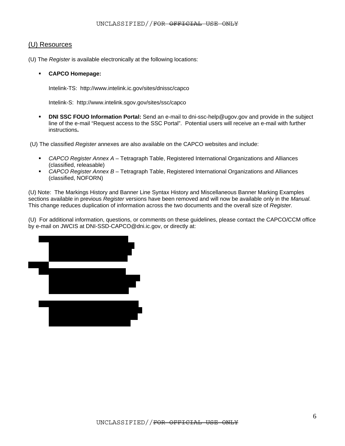### <span id="page-5-0"></span>(U) Resources

(U) The *Register* is available electronically at the following locations:

#### **CAPCO Homepage:**

Intelink-TS: http://www.intelink.ic.gov/sites/dnissc/capco

Intelink-S: http://www.intelink.sgov.gov/sites/ssc/capco

**DNI SSC FOUO Information Portal:** Send an e-mail to dni-ssc-help@ugov.gov and provide in the subject line of the e-mail "Request access to the SSC Portal". Potential users will receive an e-mail with further instructions**.** 

(U) The classified *Register* annexes are also available on the CAPCO websites and include:

- *CAPCO Register Annex A* Tetragraph Table, Registered International Organizations and Alliances (classified, releasable)
- *CAPCO Register Annex B* Tetragraph Table, Registered International Organizations and Alliances (classified, NOFORN)

(U) Note: The Markings History and Banner Line Syntax History and Miscellaneous Banner Marking Examples sections available in previous *Register* versions have been removed and will now be available only in the *Manual.*  This change reduces duplication of information across the two documents and the overall size of *Register.*

(U) For additional information, questions, or comments on these guidelines, please contact the CAPCO/CCM office by e-mail on JWCIS at DNI-SSD-CAPCO@dni.ic.gov, or directly at:

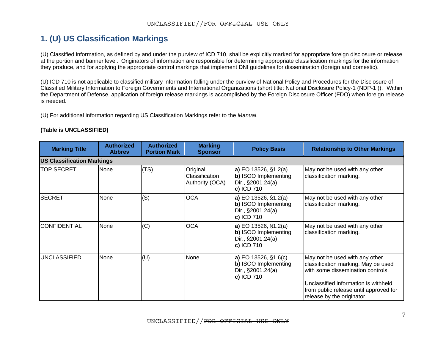## **1. (U) US Classification Markings**

(U) Classified information, as defined by and under the purview of ICD 710, shall be explicitly marked for appropriate foreign disclosure or release at the portion and banner level. Originators of information are responsible for determining appropriate classification markings for the information they produce, and for applying the appropriate control markings that implement DNI guidelines for dissemination (foreign and domestic).

(U) ICD 710 is not applicable to classified military information falling under the purview of National Policy and Procedures for the Disclosure of Classified Military Information to Foreign Governments and International Organizations (short title: National Disclosure Policy-1 (NDP-1 )). Within the Department of Defense, application of foreign release markings is accomplished by the Foreign Disclosure Officer (FDO) when foreign release is needed.

(U) For additional information regarding US Classification Markings refer to the *Manual*.

<span id="page-6-0"></span>

| <b>Marking Title</b> | <b>Authorized</b><br><b>Abbrev</b> | <b>Authorized</b><br><b>Portion Mark</b> | <b>Marking</b><br><b>Sponsor</b>              | <b>Policy Basis</b>                                                                      | <b>Relationship to Other Markings</b>                                                                                                                                                                                      |  |  |  |  |  |
|----------------------|------------------------------------|------------------------------------------|-----------------------------------------------|------------------------------------------------------------------------------------------|----------------------------------------------------------------------------------------------------------------------------------------------------------------------------------------------------------------------------|--|--|--|--|--|
|                      | <b>US Classification Markings</b>  |                                          |                                               |                                                                                          |                                                                                                                                                                                                                            |  |  |  |  |  |
| <b>TOP SECRET</b>    | None                               | (TS)                                     | Original<br>Classification<br>Authority (OCA) | <b>a)</b> EO 13526, §1.2(a)<br>b) ISOO Implementing<br>Dir., §2001.24(a)<br>$c)$ ICD 710 | May not be used with any other<br>classification marking.                                                                                                                                                                  |  |  |  |  |  |
| SECRET               | None                               | (S)                                      | <b>OCA</b>                                    | <b>a)</b> EO 13526, §1.2(a)<br>b) ISOO Implementing<br>Dir., §2001.24(a)<br>c) ICD 710   | May not be used with any other<br>classification marking.                                                                                                                                                                  |  |  |  |  |  |
| ICONFIDENTIAL        | None                               | (C)                                      | <b>OCA</b>                                    | <b>a)</b> EO 13526, §1.2(a)<br>b) ISOO Implementing<br>Dir., §2001.24(a)<br>$c)$ ICD 710 | May not be used with any other<br>classification marking.                                                                                                                                                                  |  |  |  |  |  |
| UNCLASSIFIED         | None                               | (U)                                      | None                                          | <b>a)</b> EO 13526, §1.6(c)<br>b) ISOO Implementing<br>Dir., §2001.24(a)<br>c) ICD 710   | May not be used with any other<br>classification marking. May be used<br>with some dissemination controls.<br>Unclassified information is withheld<br>from public release until approved for<br>release by the originator. |  |  |  |  |  |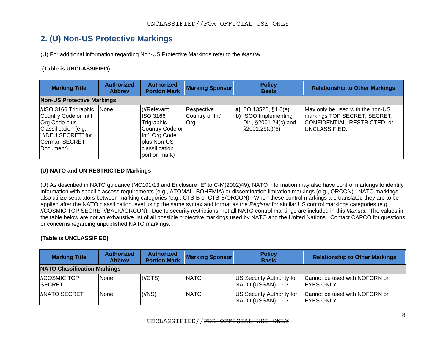### **2. (U) Non-US Protective Markings**

(U) For additional information regarding Non-US Protective Markings refer to the *Manual*.

#### **(Table is UNCLASSIFIED)**

| <b>Marking Title</b>                                                                                                                                      | <b>Authorized</b><br><b>Abbrey</b> | <b>Authorized</b><br><b>Portion Mark</b>                                                                                      | <b>Marking Sponsor</b>                       | <b>Policy</b><br><b>Basis</b>                                                                     | <b>Relationship to Other Markings</b>                                                                             |  |  |
|-----------------------------------------------------------------------------------------------------------------------------------------------------------|------------------------------------|-------------------------------------------------------------------------------------------------------------------------------|----------------------------------------------|---------------------------------------------------------------------------------------------------|-------------------------------------------------------------------------------------------------------------------|--|--|
| <b>Non-US Protective Markings</b>                                                                                                                         |                                    |                                                                                                                               |                                              |                                                                                                   |                                                                                                                   |  |  |
| //ISO 3166 Trigraphic None<br>Country Code or Int'l<br><b>Org Code plus</b><br>Classification (e.g.,<br>l"//DEU SECRET" for<br>German SECRET<br>(Document |                                    | (//Relevant<br>IISO 3166<br>Trigraphic<br>Country Code or<br>Int'l Org Code<br>plus Non-US<br>classification<br>portion mark) | Respective<br>Country or Int'l<br><b>Org</b> | <b>a)</b> EO 13526, §1.6(e)<br>b) ISOO Implementing<br>Dir., §2001.24(c) and<br>$\S2001.26(a)(6)$ | May only be used with the non-US<br>markings TOP SECRET, SECRET,<br>CONFIDENTIAL, RESTRICTED, or<br>UNCLASSIFIED. |  |  |

#### **(U) NATO and UN RESTRICTED Markings**

(U) As described in NATO guidance (MC101/13 and Enclosure "E" to C-M(2002)49), NATO information may also have control markings to identify information with specific access requirements (e.g., ATOMAL, BOHEMIA) or dissemination limitation markings (e.g., ORCON). NATO markings also utilize separators between marking categories (e.g., CTS-B or CTS-B/ORCON). When these control markings are translated they are to be applied after the NATO classification level using the same syntax and format as the *Register* for similar US control markings categories (e.g., //COSMIC TOP SECRET//BALK//ORCON). Due to security restrictions, not all NATO control markings are included in this *Manual*. The values in the table below are not an exhaustive list of all possible protective markings used by NATO and the United Nations. Contact CAPCO for questions or concerns regarding unpublished NATO markings.

<span id="page-7-0"></span>

| <b>Marking Title</b>                  | <b>Authorized</b><br><b>Abbrey</b> | <b>Authorized</b><br><b>Portion Mark</b> | <b>Marking Sponsor</b> | <b>Policy</b><br><b>Basis</b>                  | <b>Relationship to Other Markings</b>               |  |  |
|---------------------------------------|------------------------------------|------------------------------------------|------------------------|------------------------------------------------|-----------------------------------------------------|--|--|
| <b>NATO Classification Markings</b>   |                                    |                                          |                        |                                                |                                                     |  |  |
| <b>I/COSMIC TOP</b><br><b>ISECRET</b> | <b>None</b>                        | $(\text{//CTS})$                         | <b>INATO</b>           | US Security Authority for<br>NATO (USSAN) 1-07 | Cannot be used with NOFORN or<br><b>IEYES ONLY.</b> |  |  |
| <i><b>I/NATO SECRET</b></i>           | <b>None</b>                        | $\frac{1}{\sqrt{N}}$                     | <b>NATO</b>            | US Security Authority for<br>NATO (USSAN) 1-07 | Cannot be used with NOFORN or<br><b>IEYES ONLY.</b> |  |  |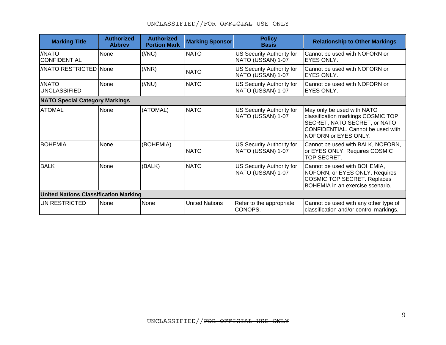| <b>Marking Title</b>                  | <b>Authorized</b><br><b>Abbrev</b>           | <b>Authorized</b><br><b>Portion Mark</b> | <b>Marking Sponsor</b> | <b>Policy</b><br><b>Basis</b>                         | <b>Relationship to Other Markings</b>                                                                                                                         |  |  |  |
|---------------------------------------|----------------------------------------------|------------------------------------------|------------------------|-------------------------------------------------------|---------------------------------------------------------------------------------------------------------------------------------------------------------------|--|--|--|
| //NATO<br><b>CONFIDENTIAL</b>         | <b>None</b>                                  | $\left(\frac{1}{N}C\right)$              | <b>NATO</b>            | US Security Authority for<br>NATO (USSAN) 1-07        | ICannot be used with NOFORN or<br><b>EYES ONLY.</b>                                                                                                           |  |  |  |
| //NATO RESTRICTED None                |                                              | $\frac{1}{\sqrt{NR}}$                    | <b>NATO</b>            | US Security Authority for<br>NATO (USSAN) 1-07        | Cannot be used with NOFORN or<br><b>IEYES ONLY.</b>                                                                                                           |  |  |  |
| //NATO<br><b>UNCLASSIFIED</b>         | None                                         | $\frac{1}{2}$                            | <b>NATO</b>            | <b>US Security Authority for</b><br>NATO (USSAN) 1-07 | Cannot be used with NOFORN or<br><b>IEYES ONLY.</b>                                                                                                           |  |  |  |
| <b>NATO Special Category Markings</b> |                                              |                                          |                        |                                                       |                                                                                                                                                               |  |  |  |
| <b>ATOMAL</b>                         | <b>None</b>                                  | (ATOMAL)                                 | <b>NATO</b>            | US Security Authority for<br>NATO (USSAN) 1-07        | May only be used with NATO<br>classification markings COSMIC TOP<br>SECRET, NATO SECRET, or NATO<br>CONFIDENTIAL. Cannot be used with<br>NOFORN or EYES ONLY. |  |  |  |
| <b>BOHEMIA</b>                        | None                                         | (BOHEMIA)                                | <b>INATO</b>           | US Security Authority for<br>NATO (USSAN) 1-07        | Cannot be used with BALK, NOFORN,<br>or EYES ONLY. Requires COSMIC<br>TOP SECRET.                                                                             |  |  |  |
| <b>BALK</b>                           | <b>None</b>                                  | (BALK)                                   | <b>NATO</b>            | US Security Authority for<br>NATO (USSAN) 1-07        | Cannot be used with BOHEMIA,<br>NOFORN, or EYES ONLY. Requires<br>COSMIC TOP SECRET. Replaces<br><b>BOHEMIA</b> in an exercise scenario.                      |  |  |  |
|                                       | <b>United Nations Classification Marking</b> |                                          |                        |                                                       |                                                                                                                                                               |  |  |  |
| UN RESTRICTED                         | None                                         | None                                     | <b>United Nations</b>  | Refer to the appropriate<br>CONOPS.                   | Cannot be used with any other type of<br>classification and/or control markings.                                                                              |  |  |  |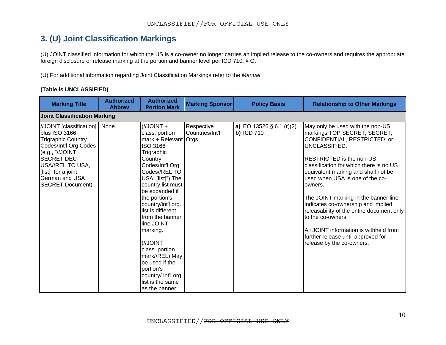## **3. (U) Joint Classification Markings**

(U) JOINT classified information for which the US is a co-owner no longer carries an implied release to the co-owners and requires the appropriate foreign disclosure or release marking at the portion and banner level per ICD 710, § G.

(U) For additional information regarding Joint Classification Markings refer to the *Manual*.

|  |  | (Table is UNCLASSIFIED) |
|--|--|-------------------------|
|--|--|-------------------------|

<span id="page-9-0"></span>

| <b>Marking Title</b>                                                                                                                                                                                                                   | <b>Authorized</b><br><b>Abbrev</b> | <b>Authorized</b><br><b>Portion Mark</b>                                                                                                                                                                                                                                                                                                                                                                                                             | <b>Marking Sponsor</b>        | <b>Policy Basis</b>                     | <b>Relationship to Other Markings</b>                                                                                                                                                                                                                                                                                                                                                                                                                                                                                                             |  |  |  |  |
|----------------------------------------------------------------------------------------------------------------------------------------------------------------------------------------------------------------------------------------|------------------------------------|------------------------------------------------------------------------------------------------------------------------------------------------------------------------------------------------------------------------------------------------------------------------------------------------------------------------------------------------------------------------------------------------------------------------------------------------------|-------------------------------|-----------------------------------------|---------------------------------------------------------------------------------------------------------------------------------------------------------------------------------------------------------------------------------------------------------------------------------------------------------------------------------------------------------------------------------------------------------------------------------------------------------------------------------------------------------------------------------------------------|--|--|--|--|
| <b>Joint Classification Marking</b>                                                                                                                                                                                                    |                                    |                                                                                                                                                                                                                                                                                                                                                                                                                                                      |                               |                                         |                                                                                                                                                                                                                                                                                                                                                                                                                                                                                                                                                   |  |  |  |  |
| //JOINT [classification]<br>plus ISO 3166<br><b>Trigraphic Country</b><br>Codes/Int'l Org Codes<br>(e.g., "//JOINT<br><b>SECRET DEU</b><br>USA//REL TO USA.<br>[list]" for a joint<br><b>German and USA</b><br><b>SECRET Document)</b> | None                               | $+$ TNIOL\\)<br>class. portion<br>mark + Relevant Orgs<br>ISO 3166<br>Trigraphic<br>Country<br>Codes/Int'l Org<br>Codes//REL TO<br>USA, [list]") The<br>country list must<br>be expanded if<br>the portion's<br>country/int'l org.<br>list is different<br>from the banner<br>line JOINT<br>marking.<br>$+$ TNIOL\\)<br>class. portion<br>mark//REL) May<br>be used if the<br>portion's<br>country/ int'l org.<br>list is the same<br>as the banner. | Respective<br>Countries/Int'l | a) EO 13526, § 6.1 (r)(2)<br>b) ICD 710 | May only be used with the non-US<br>markings TOP SECRET, SECRET,<br>CONFIDENTIAL, RESTRICTED, or<br>UNCLASSIFIED.<br><b>RESTRICTED</b> is the non-US<br>classification for which there is no US<br>equivalent marking and shall not be<br>used when USA is one of the co-<br>owners.<br>The JOINT marking in the banner line<br>indicates co-ownership and implied<br>releasability of the entire document only<br>to the co-owners.<br>All JOINT information is withheld from<br>further release until approved for<br>release by the co-owners. |  |  |  |  |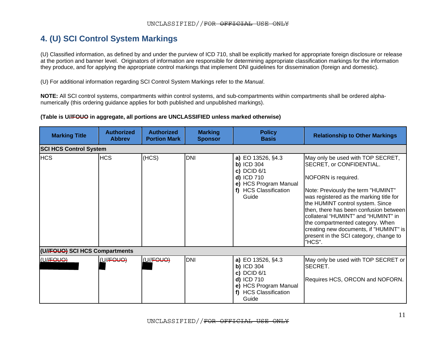### **4. (U) SCI Control System Markings**

(U) Classified information, as defined by and under the purview of ICD 710, shall be explicitly marked for appropriate foreign disclosure or release at the portion and banner level. Originators of information are responsible for determining appropriate classification markings for the information they produce, and for applying the appropriate control markings that implement DNI guidelines for dissemination (foreign and domestic).

(U) For additional information regarding SCI Control System Markings refer to the *Manual*.

**NOTE:** All SCI control systems, compartments within control systems, and sub-compartments within compartments shall be ordered alphanumerically (this ordering guidance applies for both published and unpublished markings).

#### **(Table is U//FOUO in aggregate, all portions are UNCLASSIFIED unless marked otherwise)**

<span id="page-10-0"></span>

| <b>Marking Title</b>           | <b>Authorized</b><br><b>Abbrey</b> | <b>Authorized</b><br><b>Portion Mark</b> | <b>Marking</b><br><b>Sponsor</b> | <b>Policy</b><br><b>Basis</b>                                                                                                    | <b>Relationship to Other Markings</b>                                                                                                                                                                                                                                                                                                                                                                                        |
|--------------------------------|------------------------------------|------------------------------------------|----------------------------------|----------------------------------------------------------------------------------------------------------------------------------|------------------------------------------------------------------------------------------------------------------------------------------------------------------------------------------------------------------------------------------------------------------------------------------------------------------------------------------------------------------------------------------------------------------------------|
| <b>SCI HCS Control System</b>  |                                    |                                          |                                  |                                                                                                                                  |                                                                                                                                                                                                                                                                                                                                                                                                                              |
| <b>HCS</b>                     | <b>HCS</b>                         | (HCS)                                    | <b>DNI</b>                       | a) EO 13526, §4.3<br><b>b)</b> ICD 304<br>c) DCID $6/1$<br>d) ICD 710<br>e) HCS Program Manual<br>f) HCS Classification<br>Guide | May only be used with TOP SECRET,<br>SECRET, or CONFIDENTIAL.<br>NOFORN is required.<br>Note: Previously the term "HUMINT"<br>was registered as the marking title for<br>the HUMINT control system. Since<br>then, there has been confusion between<br>collateral "HUMINT" and "HUMINT" in<br>the compartmented category. When<br>creating new documents, if "HUMINT" is<br>present in the SCI category, change to<br>"HCS". |
| (U//FOUO) SCI HCS Compartments |                                    |                                          |                                  |                                                                                                                                  |                                                                                                                                                                                                                                                                                                                                                                                                                              |
| (U//FOUO)                      | (U//FOUO)                          | (U//FOUO)                                | <b>DNI</b>                       | a) EO 13526, §4.3<br>$b)$ ICD 304<br>c) DCID $6/1$<br>d) ICD 710<br>e) HCS Program Manual<br>f) HCS Classification<br>Guide      | May only be used with TOP SECRET or<br>SECRET.<br>Requires HCS, ORCON and NOFORN.                                                                                                                                                                                                                                                                                                                                            |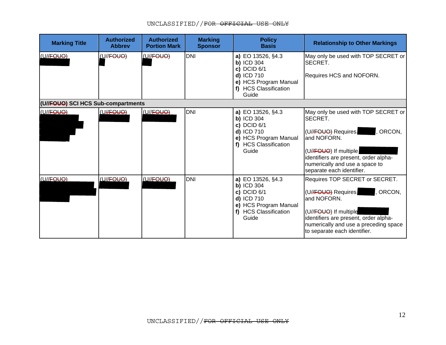| <b>Marking Title</b>               | <b>Authorized</b><br><b>Abbrev</b> | <b>Authorized</b><br><b>Portion Mark</b> | <b>Marking</b><br><b>Sponsor</b> | <b>Policy</b><br><b>Basis</b>                                                                                                    | <b>Relationship to Other Markings</b>                                                                                                                                                                                                   |
|------------------------------------|------------------------------------|------------------------------------------|----------------------------------|----------------------------------------------------------------------------------------------------------------------------------|-----------------------------------------------------------------------------------------------------------------------------------------------------------------------------------------------------------------------------------------|
| (U//FOUO)                          | <u>(U</u> //FOUO)                  | (U//FOUO)                                | <b>DNI</b>                       | a) EO 13526, §4.3<br><b>b) ICD 304</b><br>c) DCID $6/1$<br>d) ICD 710<br>e) HCS Program Manual<br>f) HCS Classification<br>Guide | May only be used with TOP SECRET or<br><b>ISECRET.</b><br>Requires HCS and NOFORN.                                                                                                                                                      |
| (U//FOUO) SCI HCS Sub-compartments |                                    |                                          |                                  |                                                                                                                                  |                                                                                                                                                                                                                                         |
| (U//FOUO)                          | (UHFOUO)                           | (U//FOUQ)                                | <b>DNI</b>                       | a) EO 13526, §4.3<br><b>b) ICD 304</b><br>c) DCID $6/1$<br>d) ICD 710<br>e) HCS Program Manual<br>f) HCS Classification<br>Guide | May only be used with TOP SECRET or<br><b>SECRET.</b><br>(U//FOUO) Requires<br>, ORCON,<br>and NOFORN.<br>(U//FOUO) If multiple<br>identifiers are present, order alpha-<br>numerically and use a space to<br>separate each identifier. |
| (U//FOUO)                          | (U//FOUO)                          | (U//FOUO)                                | <b>DNI</b>                       | a) EO 13526, §4.3<br>$b)$ ICD 304<br>c) DCID $6/1$<br>d) ICD 710<br>e) HCS Program Manual<br>f) HCS Classification<br>Guide      | Requires TOP SECRET or SECRET.<br>(U//FOUO) Requires<br>, ORCON,<br>and NOFORN.<br>(U//FOUO) If multiple<br>identifiers are present, order alpha-<br>numerically and use a preceding space<br>to separate each identifier.              |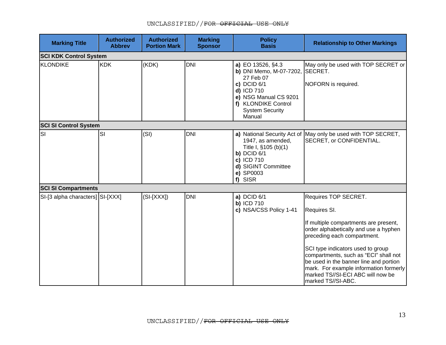| <b>Marking Title</b>             | <b>Authorized</b><br><b>Abbrev</b> | <b>Authorized</b><br><b>Portion Mark</b> | <b>Marking</b><br><b>Sponsor</b> | <b>Policy</b><br><b>Basis</b>                                                                                                                                                        | <b>Relationship to Other Markings</b>                                                                                                                                                                                                                                                                                                                                              |
|----------------------------------|------------------------------------|------------------------------------------|----------------------------------|--------------------------------------------------------------------------------------------------------------------------------------------------------------------------------------|------------------------------------------------------------------------------------------------------------------------------------------------------------------------------------------------------------------------------------------------------------------------------------------------------------------------------------------------------------------------------------|
| <b>SCI KDK Control System</b>    |                                    |                                          |                                  |                                                                                                                                                                                      |                                                                                                                                                                                                                                                                                                                                                                                    |
| KLONDIKE                         | <b>KDK</b>                         | (KDK)                                    | <b>DNI</b>                       | a) EO 13526, §4.3<br>b) DNI Memo, M-07-7202, SECRET.<br>27 Feb 07<br>c) DCID $6/1$<br>d) ICD 710<br>e) NSG Manual CS 9201<br>f) KLONDIKE Control<br><b>System Security</b><br>Manual | May only be used with TOP SECRET or<br>NOFORN is required.                                                                                                                                                                                                                                                                                                                         |
| <b>SCI SI Control System</b>     |                                    |                                          |                                  |                                                                                                                                                                                      |                                                                                                                                                                                                                                                                                                                                                                                    |
| SI                               | <b>SI</b>                          | (SI)                                     | <b>DNI</b>                       | 1947, as amended,<br>Title I, §105 (b)(1)<br>b) DCID $6/1$<br>c) ICD 710<br>d) SIGINT Committee<br>e) SP0003<br>f) SISR                                                              | a) National Security Act of May only be used with TOP SECRET,<br>SECRET, or CONFIDENTIAL.                                                                                                                                                                                                                                                                                          |
| <b>SCI SI Compartments</b>       |                                    |                                          |                                  |                                                                                                                                                                                      |                                                                                                                                                                                                                                                                                                                                                                                    |
| SI-[3 alpha characters] SI-[XXX] |                                    | $(SI-[XXX])$                             | <b>DNI</b>                       | a) DCID 6/1<br><b>b) ICD 710</b><br>c) NSA/CSS Policy 1-41                                                                                                                           | Requires TOP SECRET.<br>Requires SI.<br>If multiple compartments are present,<br>order alphabetically and use a hyphen<br>preceding each compartment.<br>SCI type indicators used to group<br>compartments, such as "ECI" shall not<br>be used in the banner line and portion<br>mark. For example information formerly<br>marked TS//SI-ECI ABC will now be<br>marked TS//SI-ABC. |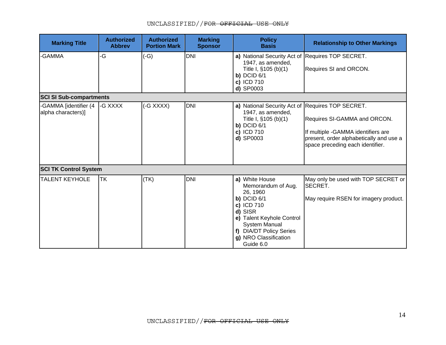| <b>Marking Title</b>                        | <b>Authorized</b><br><b>Abbrev</b> | <b>Authorized</b><br><b>Portion Mark</b> | <b>Marking</b><br><b>Sponsor</b> | <b>Policy</b><br><b>Basis</b>                                                                                                                                                                                      | <b>Relationship to Other Markings</b>                                                                                                             |
|---------------------------------------------|------------------------------------|------------------------------------------|----------------------------------|--------------------------------------------------------------------------------------------------------------------------------------------------------------------------------------------------------------------|---------------------------------------------------------------------------------------------------------------------------------------------------|
| -GAMMA                                      | -G                                 | $(-G)$                                   | <b>DNI</b>                       | a) National Security Act of Requires TOP SECRET.<br>1947, as amended,<br>Title I, §105 (b)(1)<br>b) $DCID 6/1$<br>c) ICD 710<br>d) SP0003                                                                          | Requires SI and ORCON.                                                                                                                            |
| <b>SCI SI Sub-compartments</b>              |                                    |                                          |                                  |                                                                                                                                                                                                                    |                                                                                                                                                   |
| -GAMMA [identifier (4<br>alpha characters)] | -G XXXX                            | (-G XXXX)                                | <b>DNI</b>                       | a) National Security Act of Requires TOP SECRET.<br>1947, as amended,<br>Title I, §105 (b)(1)<br>b) $DCID 6/1$<br>c) ICD 710<br>d) SP0003                                                                          | Requires SI-GAMMA and ORCON.<br>If multiple -GAMMA identifiers are<br>present, order alphabetically and use a<br>space preceding each identifier. |
| <b>SCI TK Control System</b>                |                                    |                                          |                                  |                                                                                                                                                                                                                    |                                                                                                                                                   |
| <b>TALENT KEYHOLE</b>                       | <b>TK</b>                          | (TK)                                     | <b>DNI</b>                       | a) White House<br>Memorandum of Aug.<br>26, 1960<br>$b)$ DCID $6/1$<br>c) ICD 710<br>d) SISR<br>e) Talent Keyhole Control<br><b>System Manual</b><br>f) DIA/DT Policy Series<br>g) NRO Classification<br>Guide 6.0 | May only be used with TOP SECRET or<br>SECRET.<br>May require RSEN for imagery product.                                                           |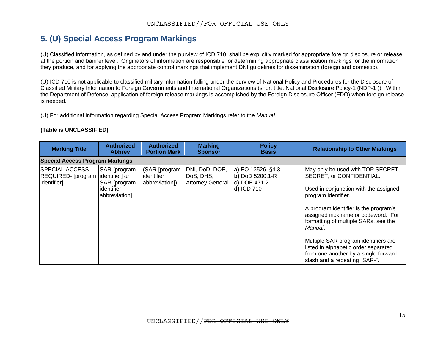## **5. (U) Special Access Program Markings**

(U) Classified information, as defined by and under the purview of ICD 710, shall be explicitly marked for appropriate foreign disclosure or release at the portion and banner level. Originators of information are responsible for determining appropriate classification markings for the information they produce, and for applying the appropriate control markings that implement DNI guidelines for dissemination (foreign and domestic).

(U) ICD 710 is not applicable to classified military information falling under the purview of National Policy and Procedures for the Disclosure of Classified Military Information to Foreign Governments and International Organizations (short title: National Disclosure Policy-1 (NDP-1 )). Within the Department of Defense, application of foreign release markings is accomplished by the Foreign Disclosure Officer (FDO) when foreign release is needed.

(U) For additional information regarding Special Access Program Markings refer to the *Manual*.

<span id="page-14-0"></span>

| <b>Marking Title</b>                                       | <b>Authorized</b><br><b>Abbrey</b>                                            | <b>Authorized</b><br><b>Portion Mark</b>      | <b>Marking</b><br><b>Sponsor</b>                       | <b>Policy</b><br><b>Basis</b>                                         | <b>Relationship to Other Markings</b>                                                                                                                                                                                                                                                                                                                                                                                    |
|------------------------------------------------------------|-------------------------------------------------------------------------------|-----------------------------------------------|--------------------------------------------------------|-----------------------------------------------------------------------|--------------------------------------------------------------------------------------------------------------------------------------------------------------------------------------------------------------------------------------------------------------------------------------------------------------------------------------------------------------------------------------------------------------------------|
| <b>Special Access Program Markings</b>                     |                                                                               |                                               |                                                        |                                                                       |                                                                                                                                                                                                                                                                                                                                                                                                                          |
| <b>SPECIAL ACCESS</b><br>REQUIRED-[program]<br>identifier] | SAR-[program<br>identifier] or<br>SAR-[program<br>identifier<br>abbreviation] | (SAR-[program<br>identifier<br>abbreviation]) | DNI, DoD, DOE,<br>DoS, DHS,<br><b>Attorney General</b> | a) EO 13526, §4.3<br>b) DoD 5200.1-R<br>$ c $ DOE 471.2<br>d) ICD 710 | May only be used with TOP SECRET,<br>SECRET, or CONFIDENTIAL.<br>Used in conjunction with the assigned<br>program identifier.<br>A program identifier is the program's<br>assigned nickname or codeword. For<br>formatting of multiple SARs, see the<br>Manual.<br>Multiple SAR program identifiers are<br>listed in alphabetic order separated<br>from one another by a single forward<br>slash and a repeating "SAR-". |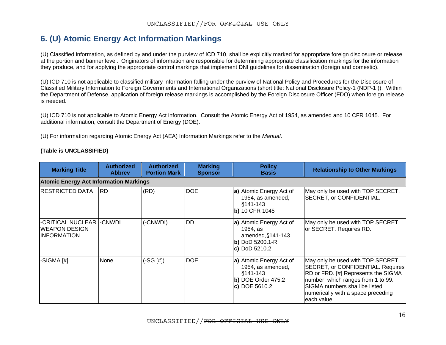# **6. (U) Atomic Energy Act Information Markings**

(U) Classified information, as defined by and under the purview of ICD 710, shall be explicitly marked for appropriate foreign disclosure or release at the portion and banner level. Originators of information are responsible for determining appropriate classification markings for the information they produce, and for applying the appropriate control markings that implement DNI guidelines for dissemination (foreign and domestic).

(U) ICD 710 is not applicable to classified military information falling under the purview of National Policy and Procedures for the Disclosure of Classified Military Information to Foreign Governments and International Organizations (short title: National Disclosure Policy-1 (NDP-1 )). Within the Department of Defense, application of foreign release markings is accomplished by the Foreign Disclosure Officer (FDO) when foreign release is needed.

(U) ICD 710 is not applicable to Atomic Energy Act information. Consult the Atomic Energy Act of 1954, as amended and 10 CFR 1045. For additional information, consult the Department of Energy (DOE).

(U) For information regarding Atomic Energy Act (AEA) Information Markings refer to the *Manual*.

<span id="page-15-0"></span>

| <b>Marking Title</b>                                                    | <b>Authorized</b><br><b>Abbrey</b>            | <b>Authorized</b><br><b>Portion Mark</b> | <b>Marking</b><br><b>Sponsor</b> | <b>Policy</b><br><b>Basis</b>                                                                       | <b>Relationship to Other Markings</b>                                                                                                                                                                                                     |  |  |  |  |  |
|-------------------------------------------------------------------------|-----------------------------------------------|------------------------------------------|----------------------------------|-----------------------------------------------------------------------------------------------------|-------------------------------------------------------------------------------------------------------------------------------------------------------------------------------------------------------------------------------------------|--|--|--|--|--|
|                                                                         | <b>Atomic Energy Act Information Markings</b> |                                          |                                  |                                                                                                     |                                                                                                                                                                                                                                           |  |  |  |  |  |
| RESTRICTED DATA                                                         | <b>RD</b>                                     | (RD)                                     | <b>DOE</b>                       | a) Atomic Energy Act of<br>1954, as amended,<br>$§141-143$<br>b) 10 CFR 1045                        | May only be used with TOP SECRET,<br>SECRET, or CONFIDENTIAL.                                                                                                                                                                             |  |  |  |  |  |
| -CRITICAL NUCLEAR  -CNWDI<br><b>WEAPON DESIGN</b><br><b>INFORMATION</b> |                                               | (-CNWDI)                                 | <b>IDD</b>                       | a) Atomic Energy Act of<br>1954, as<br>amended, $§$ 141-143<br>b) DoD 5200.1-R<br>$c)$ DoD 5210.2   | May only be used with TOP SECRET<br>or SECRET. Requires RD.                                                                                                                                                                               |  |  |  |  |  |
| -SIGMA [#]                                                              | <b>None</b>                                   | $(-SG [#])$                              | <b>DOE</b>                       | a) Atomic Energy Act of<br>1954, as amended,<br>$§141-143$<br>$b)$ DOE Order 475.2<br>c) DOE 5610.2 | May only be used with TOP SECRET,<br>SECRET, or CONFIDENTIAL. Requires<br>RD or FRD. [#] Represents the SIGMA<br>number, which ranges from 1 to 99.<br>SIGMA numbers shall be listed<br>numerically with a space preceding<br>each value. |  |  |  |  |  |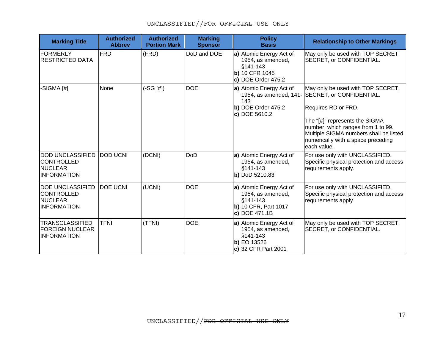| <b>Marking Title</b>                                                                 | <b>Authorized</b><br><b>Abbrev</b> | <b>Authorized</b><br><b>Portion Mark</b> | <b>Marking</b><br><b>Sponsor</b> | <b>Policy</b><br><b>Basis</b>                                                                     | <b>Relationship to Other Markings</b>                                                                                                                               |
|--------------------------------------------------------------------------------------|------------------------------------|------------------------------------------|----------------------------------|---------------------------------------------------------------------------------------------------|---------------------------------------------------------------------------------------------------------------------------------------------------------------------|
| FORMERLY<br><b>RESTRICTED DATA</b>                                                   | <b>FRD</b>                         | (FRD)                                    | DoD and DOE                      | a) Atomic Energy Act of<br>1954, as amended,<br>§141-143<br>b) 10 CFR 1045<br>c) DOE Order 475.2  | May only be used with TOP SECRET,<br>SECRET, or CONFIDENTIAL.                                                                                                       |
| -SIGMA [#]                                                                           | None                               | (-SG [#])                                | <b>DOE</b>                       | a) Atomic Energy Act of<br>143                                                                    | May only be used with TOP SECRET,<br>1954, as amended, 141- SECRET, or CONFIDENTIAL.                                                                                |
|                                                                                      |                                    |                                          |                                  | b) DOE Order 475.2<br>c) DOE 5610.2                                                               | Requires RD or FRD.                                                                                                                                                 |
|                                                                                      |                                    |                                          |                                  |                                                                                                   | The "[#]" represents the SIGMA<br>number, which ranges from 1 to 99.<br>Multiple SIGMA numbers shall be listed<br>numerically with a space preceding<br>each value. |
| <b>DOD UNCLASSIFIED</b><br> CONTROLLED<br>NUCLEAR<br><b>INFORMATION</b>              | <b>DOD UCNI</b>                    | (DCNI)                                   | DoD                              | a) Atomic Energy Act of<br>1954, as amended,<br>§141-143<br>b) DoD 5210.83                        | For use only with UNCLASSIFIED.<br>Specific physical protection and access<br>requirements apply.                                                                   |
| <b>DOE UNCLASSIFIED</b><br><b>CONTROLLED</b><br><b>NUCLEAR</b><br><b>INFORMATION</b> | <b>DOE UCNI</b>                    | (UCNI)                                   | <b>DOE</b>                       | a) Atomic Energy Act of<br>1954, as amended,<br>§141-143<br>b) 10 CFR, Part 1017<br>c) DOE 471.1B | For use only with UNCLASSIFIED.<br>Specific physical protection and access<br>requirements apply.                                                                   |
| TRANSCLASSIFIED<br><b>FOREIGN NUCLEAR</b><br><b>INFORMATION</b>                      | <b>TFNI</b>                        | (TFNI)                                   | <b>DOE</b>                       | a) Atomic Energy Act of<br>1954, as amended,<br>§141-143<br>b) EO 13526<br>c) 32 CFR Part 2001    | May only be used with TOP SECRET,<br>SECRET, or CONFIDENTIAL.                                                                                                       |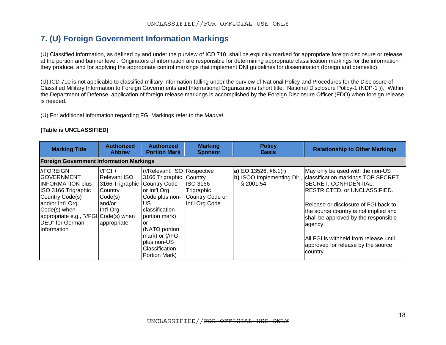### **7. (U) Foreign Government Information Markings**

(U) Classified information, as defined by and under the purview of ICD 710, shall be explicitly marked for appropriate foreign disclosure or release at the portion and banner level. Originators of information are responsible for determining appropriate classification markings for the information they produce, and for applying the appropriate control markings that implement DNI guidelines for dissemination (foreign and domestic).

(U) ICD 710 is not applicable to classified military information falling under the purview of National Policy and Procedures for the Disclosure of Classified Military Information to Foreign Governments and International Organizations (short title: National Disclosure Policy-1 (NDP-1 )). Within the Department of Defense, application of foreign release markings is accomplished by the Foreign Disclosure Officer (FDO) when foreign release is needed.

(U) For additional information regarding FGI Markings refer to the *Manual*.

<span id="page-17-0"></span>

| <b>Marking Title</b>                                                                                                                                                                                                              | <b>Authorized</b><br><b>Abbrey</b>                                                                                                 | <b>Authorized</b><br><b>Portion Mark</b>                                                                                                                                                                                        | <b>Marking</b><br><b>Sponsor</b>                                   | <b>Policy</b><br><b>Basis</b>              | <b>Relationship to Other Markings</b>                                                                                                                                                                                                                                                                                                                                                              |  |  |  |  |
|-----------------------------------------------------------------------------------------------------------------------------------------------------------------------------------------------------------------------------------|------------------------------------------------------------------------------------------------------------------------------------|---------------------------------------------------------------------------------------------------------------------------------------------------------------------------------------------------------------------------------|--------------------------------------------------------------------|--------------------------------------------|----------------------------------------------------------------------------------------------------------------------------------------------------------------------------------------------------------------------------------------------------------------------------------------------------------------------------------------------------------------------------------------------------|--|--|--|--|
| <b>Foreign Government Information Markings</b>                                                                                                                                                                                    |                                                                                                                                    |                                                                                                                                                                                                                                 |                                                                    |                                            |                                                                                                                                                                                                                                                                                                                                                                                                    |  |  |  |  |
| //FOREIGN<br><b>GOVERNMENT</b><br><b>INFORMATION plus</b><br>ISO 3166 Trigraphic<br>Country Code(s)<br>and/or Int'l Org<br>Code(s) when<br>appropriate e.g., "//FGI Code(s) when<br><b>DEU</b> " for German<br><b>Information</b> | $\sqrt{FGI}$ +<br><b>Relevant ISO</b><br>3166 Trigraphic Country Code<br>Country<br>Code(s)<br>land/or<br>Int'l Org<br>appropriate | (//Relevant; ISO Respective<br>3166 Trigraphic Country<br>or Int'l Org<br>Code plus non-<br>US.<br>classification<br>portion mark)<br>lor<br>(NATO portion<br>mark) or (//FGI<br>plus non-US<br>Classification<br>Portion Mark) | <b>ISO 3166</b><br>Trigraphic<br>Country Code or<br>Int'l Org Code | <b>a)</b> EO 13526, $§6.1(r)$<br>§ 2001.54 | May only be used with the non-US<br>b) ISOO Implementing Dir., classification markings TOP SECRET,<br>SECRET, CONFIDENTIAL,<br><b>RESTRICTED, or UNCLASSIFIED.</b><br>Release or disclosure of FGI back to<br>the source country is not implied and<br>shall be approved by the responsible<br>agency.<br>All FGI is withheld from release until<br>approved for release by the source<br>country. |  |  |  |  |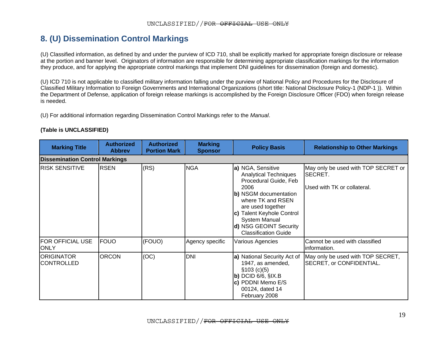### **8. (U) Dissemination Control Markings**

(U) Classified information, as defined by and under the purview of ICD 710, shall be explicitly marked for appropriate foreign disclosure or release at the portion and banner level. Originators of information are responsible for determining appropriate classification markings for the information they produce, and for applying the appropriate control markings that implement DNI guidelines for dissemination (foreign and domestic).

(U) ICD 710 is not applicable to classified military information falling under the purview of National Policy and Procedures for the Disclosure of Classified Military Information to Foreign Governments and International Organizations (short title: National Disclosure Policy-1 (NDP-1 )). Within the Department of Defense, application of foreign release markings is accomplished by the Foreign Disclosure Officer (FDO) when foreign release is needed.

(U) For additional information regarding Dissemination Control Markings refer to the *Manual*.

<span id="page-18-0"></span>

| <b>Marking Title</b>                   | <b>Authorized</b><br><b>Abbrev</b> | <b>Authorized</b><br><b>Portion Mark</b> | <b>Marking</b><br><b>Sponsor</b> | <b>Policy Basis</b>                                                                                                                                                                                                                                                 | <b>Relationship to Other Markings</b>                                                |
|----------------------------------------|------------------------------------|------------------------------------------|----------------------------------|---------------------------------------------------------------------------------------------------------------------------------------------------------------------------------------------------------------------------------------------------------------------|--------------------------------------------------------------------------------------|
| <b>Dissemination Control Markings</b>  |                                    |                                          |                                  |                                                                                                                                                                                                                                                                     |                                                                                      |
| RISK SENSITIVE                         | <b>RSEN</b>                        | (RS)                                     | <b>NGA</b>                       | a) NGA, Sensitive<br><b>Analytical Techniques</b><br>Procedural Guide, Feb<br>2006<br>b) NSGM documentation<br>where TK and RSEN<br>are used together<br>c) Talent Keyhole Control<br><b>System Manual</b><br>d) NSG GEOINT Security<br><b>Classification Guide</b> | May only be used with TOP SECRET or<br><b>SECRET.</b><br>Used with TK or collateral. |
| <b>FOR OFFICIAL USE</b><br><b>ONLY</b> | <b>FOUO</b>                        | (FOUO)                                   | Agency specific                  | Various Agencies                                                                                                                                                                                                                                                    | Cannot be used with classified<br>linformation.                                      |
| ORIGINATOR<br><b>CONTROLLED</b>        | <b>ORCON</b>                       | (OC)                                     | <b>DNI</b>                       | a) National Security Act of<br>1947, as amended,<br>\$103 (c)(5)<br>$\mathbf b$ ) DCID 6/6, $\hat{\mathbf S}$ IX.B<br>c) PDDNI Memo E/S<br>00124, dated 14<br>February 2008                                                                                         | May only be used with TOP SECRET,<br>SECRET, or CONFIDENTIAL.                        |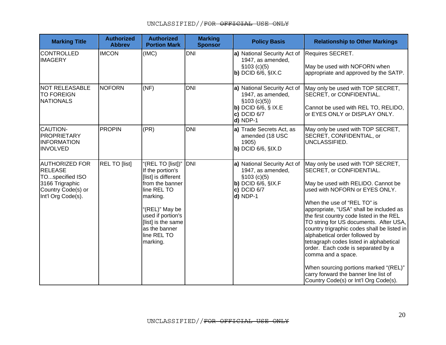| <b>Marking Title</b>                                                                                               | <b>Authorized</b><br><b>Abbrev</b> | <b>Authorized</b><br><b>Portion Mark</b>                                                                                                                                                                            | <b>Marking</b><br><b>Sponsor</b> | <b>Policy Basis</b>                                                                                                                       | <b>Relationship to Other Markings</b>                                                                                                                                                                                                                                                                                                                                                                                                                                                                                                                                                                                    |
|--------------------------------------------------------------------------------------------------------------------|------------------------------------|---------------------------------------------------------------------------------------------------------------------------------------------------------------------------------------------------------------------|----------------------------------|-------------------------------------------------------------------------------------------------------------------------------------------|--------------------------------------------------------------------------------------------------------------------------------------------------------------------------------------------------------------------------------------------------------------------------------------------------------------------------------------------------------------------------------------------------------------------------------------------------------------------------------------------------------------------------------------------------------------------------------------------------------------------------|
| CONTROLLED<br><b>IMAGERY</b>                                                                                       | <b>IMCON</b>                       | (IMC)                                                                                                                                                                                                               | <b>DNI</b>                       | a) National Security Act of<br>1947, as amended,<br>\$103 (c)(5)<br>$\vert$ b) DCID 6/6, $\frac{1}{2}$ IX.C                               | Requires SECRET.<br>May be used with NOFORN when<br>appropriate and approved by the SATP.                                                                                                                                                                                                                                                                                                                                                                                                                                                                                                                                |
| <b>NOT RELEASABLE</b><br><b>TO FOREIGN</b><br>NATIONALS                                                            | <b>NOFORN</b>                      | (NF)                                                                                                                                                                                                                | <b>DNI</b>                       | a) National Security Act of<br>1947, as amended,<br>\$103 (c)(5)<br>b) DCID $6/6$ , $\S$ IX.E<br>$c)$ DCID $6/7$<br>d) NDP-1              | May only be used with TOP SECRET,<br>SECRET, or CONFIDENTIAL.<br>Cannot be used with REL TO, RELIDO,<br>or EYES ONLY or DISPLAY ONLY.                                                                                                                                                                                                                                                                                                                                                                                                                                                                                    |
| <b>CAUTION-</b><br>PROPRIETARY<br><b>INFORMATION</b><br><b>INVOLVED</b>                                            | <b>PROPIN</b>                      | (PR)                                                                                                                                                                                                                | <b>DNI</b>                       | a) Trade Secrets Act, as<br>amended (18 USC<br>1905)<br>$\vert$ b) DCID 6/6, $\frac{1}{2}$ IX.D                                           | May only be used with TOP SECRET,<br>SECRET, CONFIDENTIAL, or<br>UNCLASSIFIED.                                                                                                                                                                                                                                                                                                                                                                                                                                                                                                                                           |
| <b>AUTHORIZED FOR</b><br>RELEASE<br>TOspecified ISO<br>3166 Trigraphic<br>Country Code(s) or<br>Int'l Org Code(s). | REL TO [list]                      | "(REL TO [list])"<br>If the portion's<br>[list] is different<br>from the banner<br>line REL TO<br>marking.<br>"(REL)" May be<br>used if portion's<br>[list] is the same<br>as the banner<br>line REL TO<br>marking. | DNI                              | a) National Security Act of<br>1947, as amended,<br>\$103 (c)(5)<br>$\mathbf b$ ) DCID 6/6, $\mathbf S$ IX.F<br>c) DCID $6/7$<br>d) NDP-1 | May only be used with TOP SECRET,<br>SECRET, or CONFIDENTIAL.<br>May be used with RELIDO. Cannot be<br>used with NOFORN or EYES ONLY.<br>When the use of "REL TO" is<br>appropriate, "USA" shall be included as<br>the first country code listed in the REL<br>TO string for US documents. After USA,<br>country trigraphic codes shall be listed in<br>alphabetical order followed by<br>tetragraph codes listed in alphabetical<br>order. Each code is separated by a<br>comma and a space.<br>When sourcing portions marked "(REL)"<br>carry forward the banner line list of<br>Country Code(s) or Int'l Org Code(s). |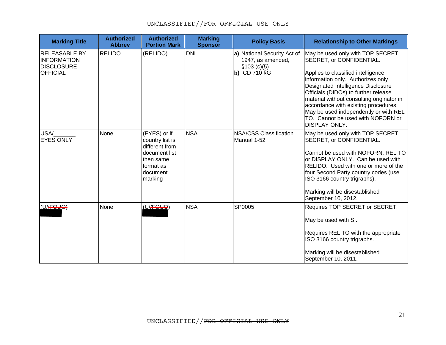| <b>Marking Title</b>                                                               | <b>Authorized</b><br><b>Abbrev</b> | <b>Authorized</b><br><b>Portion Mark</b>                                                                            | <b>Marking</b><br><b>Sponsor</b> | <b>Policy Basis</b>                                                                      | <b>Relationship to Other Markings</b>                                                                                                                                                                                                                                                                                                                                                                             |
|------------------------------------------------------------------------------------|------------------------------------|---------------------------------------------------------------------------------------------------------------------|----------------------------------|------------------------------------------------------------------------------------------|-------------------------------------------------------------------------------------------------------------------------------------------------------------------------------------------------------------------------------------------------------------------------------------------------------------------------------------------------------------------------------------------------------------------|
| <b>RELEASABLE BY</b><br><b>INFORMATION</b><br><b>DISCLOSURE</b><br><b>OFFICIAL</b> | <b>RELIDO</b>                      | (RELIDO)                                                                                                            | <b>DNI</b>                       | a) National Security Act of<br>1947, as amended,<br>\$103 (c)(5)<br><b>b) ICD 710 §G</b> | May be used only with TOP SECRET,<br>SECRET, or CONFIDENTIAL.<br>Applies to classified intelligence<br>information only. Authorizes only<br>Designated Intelligence Disclosure<br>Officials (DIDOs) to further release<br>material without consulting originator in<br>accordance with existing procedures.<br>May be used independently or with REL<br>TO. Cannot be used with NOFORN or<br><b>DISPLAY ONLY.</b> |
| USA/<br><b>EYES ONLY</b>                                                           | None                               | (EYES) or if<br>country list is<br>different from<br>document list<br>then same<br>format as<br>document<br>marking | <b>NSA</b>                       | NSA/CSS Classification<br>Manual 1-52                                                    | May be used only with TOP SECRET,<br>SECRET, or CONFIDENTIAL.<br>Cannot be used with NOFORN, REL TO<br>or DISPLAY ONLY. Can be used with<br>RELIDO. Used with one or more of the<br>four Second Party country codes (use<br>ISO 3166 country trigraphs).<br>Marking will be disestablished<br>September 10, 2012.                                                                                                 |
| (U//FOUO)                                                                          | None                               | (U//FOUO)                                                                                                           | <b>NSA</b>                       | SP0005                                                                                   | Requires TOP SECRET or SECRET.<br>May be used with SI.<br>Requires REL TO with the appropriate<br>ISO 3166 country trigraphs.<br>Marking will be disestablished<br>September 10, 2011.                                                                                                                                                                                                                            |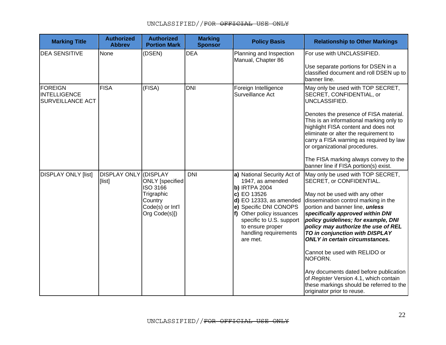| <b>Marking Title</b>                               | <b>Authorized</b><br><b>Abbrev</b> | <b>Authorized</b><br><b>Portion Mark</b>                                                   | <b>Marking</b><br><b>Sponsor</b> | <b>Policy Basis</b>                                                                                                                                                                                                                                           | <b>Relationship to Other Markings</b>                                                                                                                                                                                                                                                                                                                                                                                                                                                                                                                                                    |
|----------------------------------------------------|------------------------------------|--------------------------------------------------------------------------------------------|----------------------------------|---------------------------------------------------------------------------------------------------------------------------------------------------------------------------------------------------------------------------------------------------------------|------------------------------------------------------------------------------------------------------------------------------------------------------------------------------------------------------------------------------------------------------------------------------------------------------------------------------------------------------------------------------------------------------------------------------------------------------------------------------------------------------------------------------------------------------------------------------------------|
| <b>DEA SENSITIVE</b>                               | None                               | (DSEN)                                                                                     | <b>DEA</b>                       | Planning and Inspection<br>Manual, Chapter 86                                                                                                                                                                                                                 | For use with UNCLASSIFIED.<br>Use separate portions for DSEN in a<br>classified document and roll DSEN up to<br>banner line.                                                                                                                                                                                                                                                                                                                                                                                                                                                             |
| FOREIGN<br>INTELLIGENCE<br><b>SURVEILLANCE ACT</b> | <b>FISA</b>                        | (FISA)                                                                                     | <b>DNI</b>                       | Foreign Intelligence<br>Surveillance Act                                                                                                                                                                                                                      | May only be used with TOP SECRET,<br>SECRET, CONFIDENTIAL, or<br>UNCLASSIFIED.<br>Denotes the presence of FISA material.<br>This is an informational marking only to<br>highlight FISA content and does not<br>eliminate or alter the requirement to<br>carry a FISA warning as required by law<br>or organizational procedures.<br>The FISA marking always convey to the<br>banner line if FISA portion(s) exist.                                                                                                                                                                       |
| <b>DISPLAY ONLY [list]</b>                         | DISPLAY ONLY (DISPLAY<br>[list]    | ONLY [specified]<br>ISO 3166<br>Trigraphic<br>Country<br>Code(s) or Int'l<br>Org Code(s)]) | <b>DNI</b>                       | a) National Security Act of<br>1947, as amended<br><b>b) IRTPA 2004</b><br>c) EO 13526<br>d) EO 12333, as amended<br>e) Specific DNI CONOPS<br>f) Other policy issuances<br>specific to U.S. support<br>to ensure proper<br>handling requirements<br>are met. | May only be used with TOP SECRET,<br>SECRET, or CONFIDENTIAL.<br>May not be used with any other<br>dissemination control marking in the<br>portion and banner line, <i>unless</i><br>specifically approved within DNI<br>policy guidelines; for example, DNI<br>policy may authorize the use of REL<br>TO in conjunction with DISPLAY<br><b>ONLY</b> in certain circumstances.<br>Cannot be used with RELIDO or<br>NOFORN.<br>Any documents dated before publication<br>of Register Version 4.1, which contain<br>these markings should be referred to the<br>originator prior to reuse. |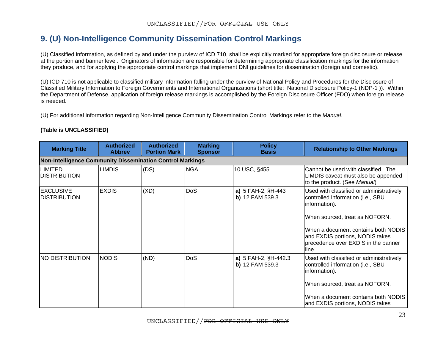## **9. (U) Non-Intelligence Community Dissemination Control Markings**

(U) Classified information, as defined by and under the purview of ICD 710, shall be explicitly marked for appropriate foreign disclosure or release at the portion and banner level. Originators of information are responsible for determining appropriate classification markings for the information they produce, and for applying the appropriate control markings that implement DNI guidelines for dissemination (foreign and domestic).

(U) ICD 710 is not applicable to classified military information falling under the purview of National Policy and Procedures for the Disclosure of Classified Military Information to Foreign Governments and International Organizations (short title: National Disclosure Policy-1 (NDP-1 )). Within the Department of Defense, application of foreign release markings is accomplished by the Foreign Disclosure Officer (FDO) when foreign release is needed.

(U) For additional information regarding Non-Intelligence Community Dissemination Control Markings refer to the *Manual*.

<span id="page-22-0"></span>

| <b>Marking Title</b>                                      | <b>Authorized</b><br><b>Abbrev</b> | <b>Authorized</b><br><b>Portion Mark</b> | <b>Marking</b><br><b>Sponsor</b> | <b>Policy</b><br><b>Basis</b>             | <b>Relationship to Other Markings</b>                                                                                                                                                                                                                      |  |  |  |  |
|-----------------------------------------------------------|------------------------------------|------------------------------------------|----------------------------------|-------------------------------------------|------------------------------------------------------------------------------------------------------------------------------------------------------------------------------------------------------------------------------------------------------------|--|--|--|--|
| Non-Intelligence Community Dissemination Control Markings |                                    |                                          |                                  |                                           |                                                                                                                                                                                                                                                            |  |  |  |  |
| <b>LIMITED</b><br><b>IDISTRIBUTION</b>                    | <b>LIMDIS</b>                      | (DS)                                     | <b>NGA</b>                       | 10 USC, §455                              | ICannot be used with classified. The<br>LIMDIS caveat must also be appended<br>to the product. (See Manual)                                                                                                                                                |  |  |  |  |
| <b>EXCLUSIVE</b><br><b>IDISTRIBUTION</b>                  | <b>EXDIS</b>                       | (XD)                                     | DoS                              | a) $5$ FAH-2, $$H-443$<br>b) 12 FAM 539.3 | Used with classified or administratively<br>controlled information (i.e., SBU<br>information).<br>When sourced, treat as NOFORN.<br>When a document contains both NODIS<br>and EXDIS portions, NODIS takes<br>precedence over EXDIS in the banner<br>line. |  |  |  |  |
| <b>NO DISTRIBUTION</b>                                    | <b>NODIS</b>                       | (ND)                                     | DoS                              | a) 5 FAH-2, §H-442.3<br>b) 12 FAM 539.3   | Used with classified or administratively<br>controlled information (i.e., SBU<br>information).<br>When sourced, treat as NOFORN.<br>IWhen a document contains both NODIS<br>and EXDIS portions, NODIS takes                                                |  |  |  |  |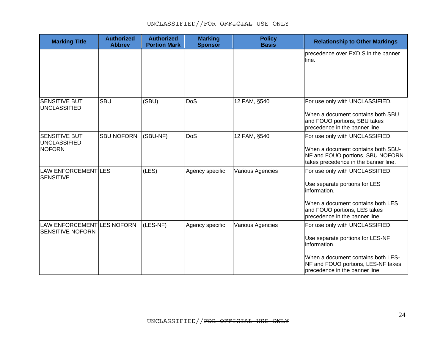| <b>Marking Title</b>                                  | <b>Authorized</b><br><b>Abbrev</b> | <b>Authorized</b><br><b>Portion Mark</b> | <b>Marking</b><br><b>Sponsor</b> | <b>Policy</b><br><b>Basis</b> | <b>Relationship to Other Markings</b>                                                                                                                                                             |
|-------------------------------------------------------|------------------------------------|------------------------------------------|----------------------------------|-------------------------------|---------------------------------------------------------------------------------------------------------------------------------------------------------------------------------------------------|
|                                                       |                                    |                                          |                                  |                               | precedence over EXDIS in the banner<br>lline.                                                                                                                                                     |
| <b>SENSITIVE BUT</b><br><b>UNCLASSIFIED</b>           | <b>SBU</b>                         | (SBU)                                    | DoS                              | 12 FAM, §540                  | For use only with UNCLASSIFIED.<br>When a document contains both SBU<br>and FOUO portions, SBU takes<br>precedence in the banner line.                                                            |
| <b>SENSITIVE BUT</b><br>UNCLASSIFIED<br><b>NOFORN</b> | <b>SBU NOFORN</b>                  | (SBU-NF)                                 | DoS                              | 12 FAM, §540                  | For use only with UNCLASSIFIED.<br>When a document contains both SBU-<br>NF and FOUO portions, SBU NOFORN<br>takes precedence in the banner line.                                                 |
| LAW ENFORCEMENTILES<br><b>SENSITIVE</b>               |                                    | (LES)                                    | Agency specific                  | Various Agencies              | For use only with UNCLASSIFIED.<br>Use separate portions for LES<br>information.<br>When a document contains both LES<br>and FOUO portions, LES takes<br>precedence in the banner line.           |
| LAW ENFORCEMENT LES NOFORN<br><b>SENSITIVE NOFORN</b> |                                    | (LES-NF)                                 | Agency specific                  | Various Agencies              | For use only with UNCLASSIFIED.<br>Use separate portions for LES-NF<br>information.<br>When a document contains both LES-<br>NF and FOUO portions, LES-NF takes<br>precedence in the banner line. |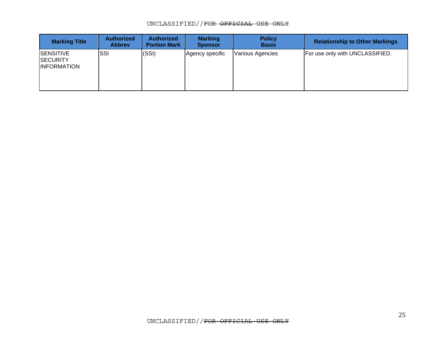### UNCLASSIFIED//FOR OFFICIAL USE ONLY

| <b>Marking Title</b>                                      | <b>Authorized</b><br><b>Abbrey</b> | <b>Authorized</b><br><b>Portion Mark</b> | <b>Marking</b><br><b>Sponsor</b> | <b>Policy</b><br><b>Basis</b> | <b>Relationship to Other Markings</b> |
|-----------------------------------------------------------|------------------------------------|------------------------------------------|----------------------------------|-------------------------------|---------------------------------------|
| <b>SENSITIVE</b><br><b>SECURITY</b><br><b>INFORMATION</b> | ISSI                               | (SSI)                                    | Agency specific                  | <b>Various Agencies</b>       | For use only with UNCLASSIFIED.       |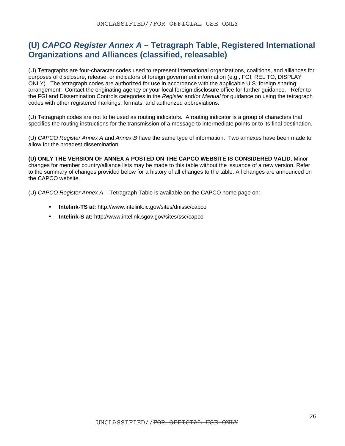### <span id="page-25-0"></span>**(U)** *CAPCO Register Annex A* **– Tetragraph Table, Registered International Organizations and Alliances (classified, releasable)**

(U) Tetragraphs are four-character codes used to represent international organizations, coalitions, and alliances for purposes of disclosure, release, or indicators of foreign government information (e.g., FGI, REL TO, DISPLAY ONLY). The tetragraph codes are authorized for use in accordance with the applicable U.S. foreign sharing arrangement. Contact the originating agency or your local foreign disclosure office for further guidance. Refer to the FGI and Dissemination Controls categories in the *Register* and/or *Manual* for guidance on using the tetragraph codes with other registered markings, formats, and authorized abbreviations.

(U) Tetragraph codes are not to be used as routing indicators. A routing indicator is a group of characters that specifies the routing instructions for the transmission of a message to intermediate points or to its final destination.

(U) *CAPCO Register Annex A* and *Annex B* have the same type of information. Two annexes have been made to allow for the broadest dissemination.

**(U) ONLY THE VERSION OF ANNEX A POSTED ON THE CAPCO WEBSITE IS CONSIDERED VALID.** Minor changes for member country/alliance lists may be made to this table without the issuance of a new version. Refer to the summary of changes provided below for a history of all changes to the table. All changes are announced on the CAPCO website.

(U) *CAPCO Register Annex A* – Tetragraph Table is available on the CAPCO home page on:

- **Intelink-TS at:** http://www.intelink.ic.gov/sites/dnissc/capco
- **Intelink-S at:** http://www.intelink.sgov.gov/sites/ssc/capco